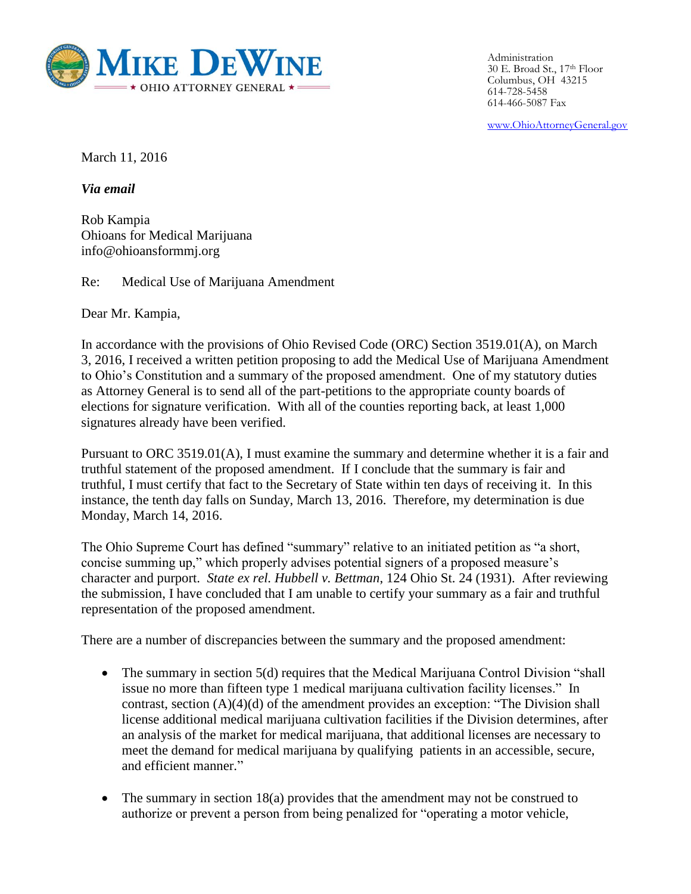

Administration 30 E. Broad St., 17th Floor Columbus, OH 43215 614-728-5458 614-466-5087 Fax

www.OhioAttorneyGeneral.gov

March 11, 2016

*Via email*

Rob Kampia Ohioans for Medical Marijuana info@ohioansformmj.org

Re: Medical Use of Marijuana Amendment

Dear Mr. Kampia,

In accordance with the provisions of Ohio Revised Code (ORC) Section 3519.01(A), on March 3, 2016, I received a written petition proposing to add the Medical Use of Marijuana Amendment to Ohio's Constitution and a summary of the proposed amendment. One of my statutory duties as Attorney General is to send all of the part-petitions to the appropriate county boards of elections for signature verification. With all of the counties reporting back, at least 1,000 signatures already have been verified.

Pursuant to ORC 3519.01(A), I must examine the summary and determine whether it is a fair and truthful statement of the proposed amendment. If I conclude that the summary is fair and truthful, I must certify that fact to the Secretary of State within ten days of receiving it. In this instance, the tenth day falls on Sunday, March 13, 2016. Therefore, my determination is due Monday, March 14, 2016.

The Ohio Supreme Court has defined "summary" relative to an initiated petition as "a short, concise summing up," which properly advises potential signers of a proposed measure's character and purport. *State ex rel. Hubbell v. Bettman*, 124 Ohio St. 24 (1931). After reviewing the submission, I have concluded that I am unable to certify your summary as a fair and truthful representation of the proposed amendment.

There are a number of discrepancies between the summary and the proposed amendment:

- The summary in section 5(d) requires that the Medical Marijuana Control Division "shall issue no more than fifteen type 1 medical marijuana cultivation facility licenses." In contrast, section (A)(4)(d) of the amendment provides an exception: "The Division shall license additional medical marijuana cultivation facilities if the Division determines, after an analysis of the market for medical marijuana, that additional licenses are necessary to meet the demand for medical marijuana by qualifying patients in an accessible, secure, and efficient manner."
- The summary in section 18(a) provides that the amendment may not be construed to authorize or prevent a person from being penalized for "operating a motor vehicle,